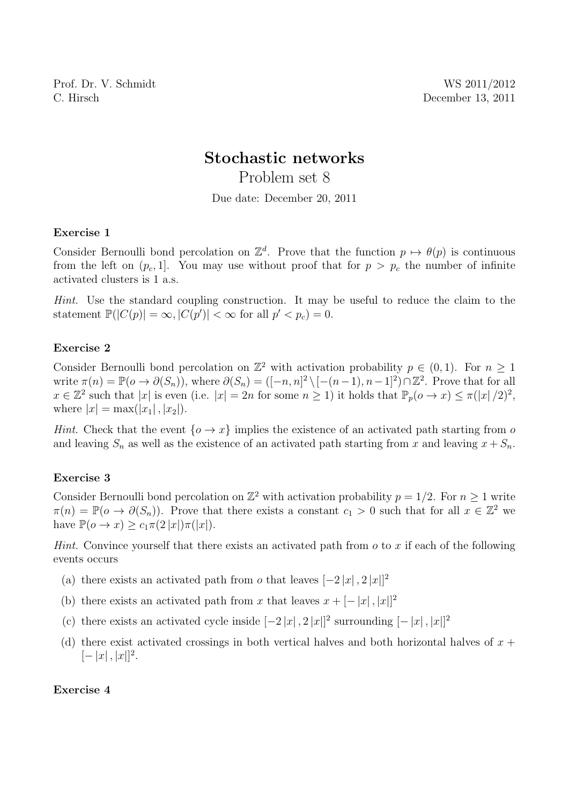Prof. Dr. V. Schmidt WS 2011/2012 C. Hirsch December 13, 2011

# Stochastic networks

Problem set 8

Due date: December 20, 2011

### Exercise 1

Consider Bernoulli bond percolation on  $\mathbb{Z}^d$ . Prove that the function  $p \mapsto \theta(p)$  is continuous from the left on  $(p_c, 1]$ . You may use without proof that for  $p > p_c$  the number of infinite activated clusters is 1 a.s.

Hint. Use the standard coupling construction. It may be useful to reduce the claim to the statement  $\mathbb{P}(|C(p)| = \infty, |C(p')| < \infty$  for all  $p' < p_c$ ) = 0.

### Exercise 2

Consider Bernoulli bond percolation on  $\mathbb{Z}^2$  with activation probability  $p \in (0,1)$ . For  $n \geq 1$ write  $\pi(n) = \mathbb{P}(o \to \partial(S_n))$ , where  $\partial(S_n) = ([-n, n]^2 \setminus [-(n-1), n-1]^2) \cap \mathbb{Z}^2$ . Prove that for all  $x \in \mathbb{Z}^2$  such that  $|x|$  is even (i.e.  $|x| = 2n$  for some  $n \ge 1$ ) it holds that  $\mathbb{P}_p(o \to x) \le \pi(|x|/2)^2$ , where  $|x| = \max(|x_1|, |x_2|).$ 

*Hint.* Check that the event  $\{o \to x\}$  implies the existence of an activated path starting from o and leaving  $S_n$  as well as the existence of an activated path starting from x and leaving  $x + S_n$ .

## Exercise 3

Consider Bernoulli bond percolation on  $\mathbb{Z}^2$  with activation probability  $p = 1/2$ . For  $n \geq 1$  write  $\pi(n) = \mathbb{P}(o \to \partial(S_n))$ . Prove that there exists a constant  $c_1 > 0$  such that for all  $x \in \mathbb{Z}^2$  we have  $\mathbb{P}(o \to x) \geq c_1 \pi(2 |x|) \pi(|x|).$ 

*Hint.* Convince yourself that there exists an activated path from  $o$  to  $x$  if each of the following events occurs

- (a) there exists an activated path from  $o$  that leaves  $[-2|x|, 2|x|]^2$
- (b) there exists an activated path from x that leaves  $x + [-|x|, |x|]^2$
- (c) there exists an activated cycle inside  $[-2|x|, 2|x|]^2$  surrounding  $[-|x|, |x|]^2$
- (d) there exist activated crossings in both vertical halves and both horizontal halves of  $x +$  $[-|x|,|x|]^2.$

#### Exercise 4